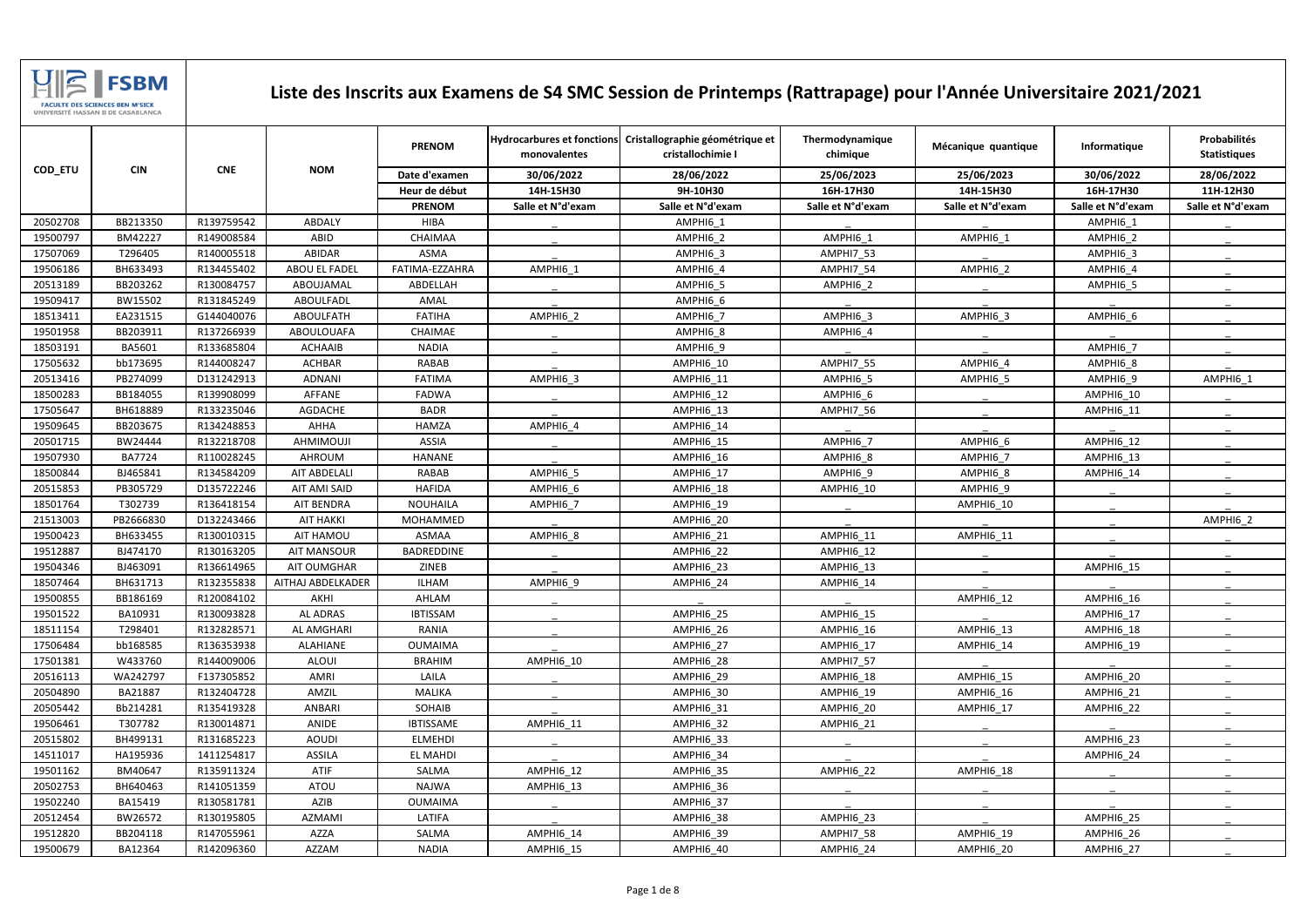|          |               |            |                     | <b>PRENOM</b>    | monovalentes      | Hydrocarbures et fonctions Cristallographie géométrique et<br>cristallochimie I | Thermodynamique<br>chimique | Mécanique quantique | Informatique      | Probabilités<br><b>Statistiques</b> |
|----------|---------------|------------|---------------------|------------------|-------------------|---------------------------------------------------------------------------------|-----------------------------|---------------------|-------------------|-------------------------------------|
| COD_ETU  | <b>CIN</b>    | <b>CNE</b> | <b>NOM</b>          | Date d'examen    | 30/06/2022        | 28/06/2022                                                                      | 25/06/2023                  | 25/06/2023          | 30/06/2022        | 28/06/2022                          |
|          |               |            |                     | Heur de début    | 14H-15H30         | 9H-10H30                                                                        | 16H-17H30                   | 14H-15H30           | 16H-17H30         | 11H-12H30                           |
|          |               |            |                     | <b>PRENOM</b>    | Salle et N°d'exam | Salle et N°d'exam                                                               | Salle et N°d'exam           | Salle et N°d'exam   | Salle et N°d'exam | Salle et N°d'exam                   |
| 20502708 | BB213350      | R139759542 | ABDALY              | <b>HIBA</b>      |                   | AMPHI6 1                                                                        |                             |                     | AMPHI6 1          |                                     |
| 19500797 | BM42227       | R149008584 | ABID                | CHAIMAA          |                   | AMPHI6 2                                                                        | AMPHI6 1                    | AMPHI6 1            | AMPHI6 2          |                                     |
| 17507069 | T296405       | R140005518 | ABIDAR              | ASMA             |                   | AMPHI6 3                                                                        | AMPHI7 53                   |                     | AMPHI6 3          |                                     |
| 19506186 | BH633493      | R134455402 | ABOU EL FADEL       | FATIMA-EZZAHRA   | AMPHI6 1          | AMPHI6 4                                                                        | AMPHI7 54                   | AMPHI6 2            | AMPHI6 4          |                                     |
| 20513189 | BB203262      | R130084757 | ABOUJAMAL           | ABDELLAH         |                   | AMPHI6_5                                                                        | AMPHI6_2                    |                     | AMPHI6_5          |                                     |
| 19509417 | BW15502       | R131845249 | ABOULFADL           | AMAL             |                   | AMPHI6 6                                                                        |                             |                     |                   |                                     |
| 18513411 | EA231515      | G144040076 | <b>ABOULFATH</b>    | <b>FATIHA</b>    | AMPHI6 2          | AMPHI6 7                                                                        | AMPHI6 3                    | AMPHI6 3            | AMPHI6 6          |                                     |
| 19501958 | BB203911      | R137266939 | ABOULOUAFA          | CHAIMAE          |                   | AMPHI6 8                                                                        | AMPHI6_4                    |                     |                   |                                     |
| 18503191 | BA5601        | R133685804 | <b>ACHAAIB</b>      | <b>NADIA</b>     |                   | AMPHI6 9                                                                        |                             |                     | AMPHI6 7          |                                     |
| 17505632 | bb173695      | R144008247 | <b>ACHBAR</b>       | RABAB            |                   | AMPHI6 10                                                                       | AMPHI7 55                   | AMPHI6 4            | AMPHI6 8          |                                     |
| 20513416 | PB274099      | D131242913 | <b>ADNANI</b>       | <b>FATIMA</b>    | AMPHI6 3          | <b>AMPHI6 11</b>                                                                | AMPHI6 5                    | AMPHI6 5            | AMPHI6 9          | AMPHI6_1                            |
| 18500283 | BB184055      | R139908099 | <b>AFFANE</b>       | <b>FADWA</b>     |                   | AMPHI6 12                                                                       | AMPHI6 6                    |                     | AMPHI6 10         |                                     |
| 17505647 | BH618889      | R133235046 | <b>AGDACHE</b>      | <b>BADR</b>      |                   | <b>AMPHI6 13</b>                                                                | AMPHI7_56                   |                     | AMPHI6_11         |                                     |
| 19509645 | BB203675      | R134248853 | AHHA                | <b>HAMZA</b>     | AMPHI6 4          | <b>AMPHI6 14</b>                                                                |                             |                     |                   |                                     |
| 20501715 | BW24444       | R132218708 | AHMIMOUJI           | <b>ASSIA</b>     |                   | <b>AMPHI6_15</b>                                                                | AMPHI6 7                    | AMPHI6_6            | AMPHI6 12         |                                     |
| 19507930 | <b>BA7724</b> | R110028245 | AHROUM              | <b>HANANE</b>    |                   | <b>AMPHI6 16</b>                                                                | AMPHI6_8                    | AMPHI6 7            | AMPHI6_13         |                                     |
| 18500844 | BJ465841      | R134584209 | <b>AIT ABDELALI</b> | RABAB            | AMPHI6 5          | <b>AMPHI6 17</b>                                                                | AMPHI6 9                    | AMPHI6 8            | AMPHI6 14         |                                     |
| 20515853 | PB305729      | D135722246 | AIT AMI SAID        | <b>HAFIDA</b>    | AMPHI6 6          | AMPHI6_18                                                                       | AMPHI6 10                   | AMPHI6 9            |                   |                                     |
| 18501764 | T302739       | R136418154 | AIT BENDRA          | <b>NOUHAILA</b>  | AMPHI6 7          | <b>AMPHI6 19</b>                                                                |                             | AMPHI6 10           |                   |                                     |
| 21513003 | PB2666830     | D132243466 | <b>AIT HAKKI</b>    | MOHAMMED         |                   | <b>AMPHI6 20</b>                                                                |                             |                     |                   | AMPHI6 2                            |
| 19500423 | BH633455      | R130010315 | AIT HAMOU           | <b>ASMAA</b>     | AMPHI6_8          | <b>AMPHI6_21</b>                                                                | AMPHI6 11                   | AMPHI6 11           |                   |                                     |
| 19512887 | BJ474170      | R130163205 | <b>AIT MANSOUR</b>  | BADREDDINE       |                   | AMPHI6 22                                                                       | AMPHI6 12                   |                     |                   |                                     |
| 19504346 | BJ463091      | R136614965 | AIT OUMGHAR         | ZINEB            |                   | AMPHI6 23                                                                       | AMPHI6 13                   |                     | AMPHI6 15         |                                     |
| 18507464 | BH631713      | R132355838 | AITHAJ ABDELKADER   | ILHAM            | AMPHI6 9          | AMPHI6 24                                                                       | AMPHI6 14                   |                     |                   |                                     |
| 19500855 | BB186169      | R120084102 | AKHI                | AHLAM            |                   |                                                                                 |                             | AMPHI6 12           | AMPHI6_16         |                                     |
| 19501522 | BA10931       | R130093828 | AL ADRAS            | <b>IBTISSAM</b>  |                   | AMPHI6_25                                                                       | AMPHI6_15                   |                     | AMPHI6_17         |                                     |
| 18511154 | T298401       | R132828571 | AL AMGHARI          | RANIA            |                   | AMPHI6 26                                                                       | AMPHI6 16                   | AMPHI6 13           | AMPHI6 18         |                                     |
| 17506484 | bb168585      | R136353938 | ALAHIANE            | <b>OUMAIMA</b>   |                   | AMPHI6 27                                                                       | AMPHI6 17                   | AMPHI6 14           | AMPHI6 19         |                                     |
| 17501381 | W433760       | R144009006 | <b>ALOUI</b>        | <b>BRAHIM</b>    | AMPHI6_10         | <b>AMPHI6_28</b>                                                                | <b>AMPHI7_57</b>            |                     |                   |                                     |
| 20516113 | WA242797      | F137305852 | AMRI                | LAILA            |                   | AMPHI6 29                                                                       | AMPHI6 18                   | AMPHI6 15           | AMPHI6 20         |                                     |
| 20504890 | BA21887       | R132404728 | AMZIL               | MALIKA           |                   | AMPHI6 30                                                                       | AMPHI6_19                   | AMPHI6 16           | AMPHI6_21         |                                     |
| 20505442 | Bb214281      | R135419328 | ANBARI              | SOHAIB           |                   | AMPHI6_31                                                                       | <b>AMPHI6_20</b>            | AMPHI6_17           | AMPHI6_22         |                                     |
| 19506461 | T307782       | R130014871 | ANIDE               | <b>IBTISSAME</b> | AMPHI6_11         | AMPHI6 32                                                                       | AMPHI6_21                   |                     |                   |                                     |
| 20515802 | BH499131      | R131685223 | <b>AOUDI</b>        | <b>ELMEHDI</b>   |                   | AMPHI6_33                                                                       |                             |                     | AMPHI6_23         |                                     |
| 14511017 | HA195936      | 1411254817 | <b>ASSILA</b>       | EL MAHDI         |                   | AMPHI6 34                                                                       |                             |                     | AMPHI6 24         |                                     |
| 19501162 | BM40647       | R135911324 | ATIF                | SALMA            | AMPHI6 12         | <b>AMPHI6_35</b>                                                                | AMPHI6 22                   | AMPHI6 18           |                   |                                     |
| 20502753 | BH640463      | R141051359 | ATOU                | <b>NAJWA</b>     | AMPHI6 13         | AMPHI6_36                                                                       |                             |                     |                   |                                     |
| 19502240 | BA15419       | R130581781 | AZIB                | <b>OUMAIMA</b>   |                   | AMPHI6 37                                                                       |                             |                     |                   |                                     |
| 20512454 | BW26572       | R130195805 | AZMAMI              | LATIFA           |                   | AMPHI6_38                                                                       | AMPHI6_23                   |                     | AMPHI6 25         |                                     |
| 19512820 | BB204118      | R147055961 | AZZA                | SALMA            | AMPHI6_14         | AMPHI6 39                                                                       | AMPHI7_58                   | AMPHI6_19           | AMPHI6_26         |                                     |
| 19500679 | BA12364       | R142096360 | AZZAM               | <b>NADIA</b>     | AMPHI6_15         | AMPHI6_40                                                                       | AMPHI6_24                   | AMPHI6_20           | AMPHI6_27         |                                     |



## **Liste des Inscrits aux Examens de S4 SMC Session de Printemps (Rattrapage) pour l'Année Universitaire 2021/2021**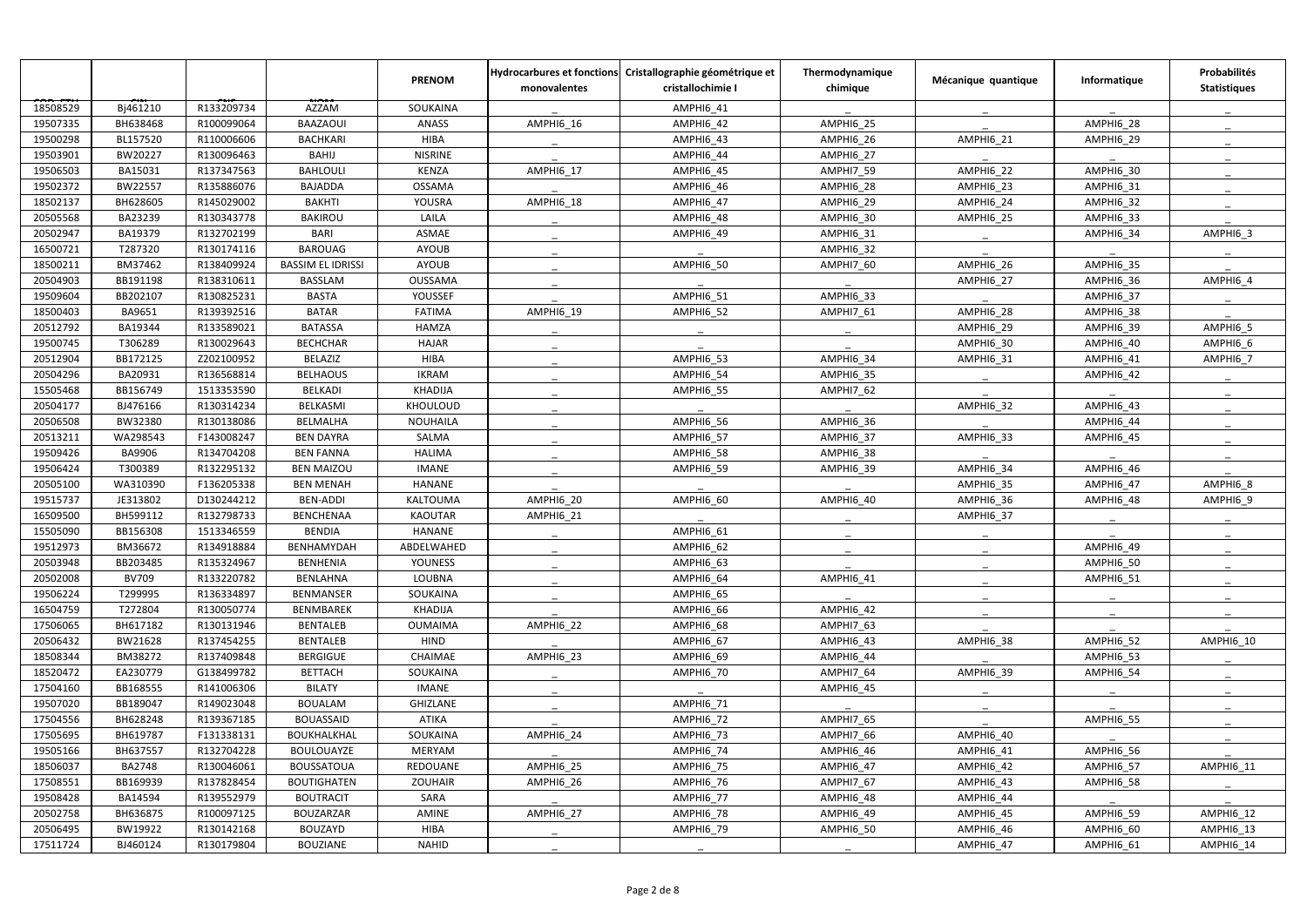|          |               |            |                          | <b>PRENOM</b>   | monovalentes | Hydrocarbures et fonctions Cristallographie géométrique et<br>cristallochimie I | Thermodynamique<br>chimique | Mécanique quantique | Informatique     | Probabilités<br><b>Statistiques</b> |
|----------|---------------|------------|--------------------------|-----------------|--------------|---------------------------------------------------------------------------------|-----------------------------|---------------------|------------------|-------------------------------------|
| 18508529 | Bj461210      | R133209734 | AZZAM                    | SOUKAINA        |              | AMPHI6_41                                                                       |                             |                     |                  |                                     |
| 19507335 | BH638468      | R100099064 | BAAZAOUI                 | <b>ANASS</b>    | AMPHI6 16    | AMPHI6 42                                                                       | AMPHI6 25                   |                     | AMPHI6 28        |                                     |
| 19500298 | BL157520      | R110006606 | <b>BACHKARI</b>          | <b>HIBA</b>     |              | <b>AMPHI6 43</b>                                                                | AMPHI6 26                   | AMPHI6 21           | AMPHI6 29        |                                     |
| 19503901 | BW20227       | R130096463 | <b>BAHIJ</b>             | <b>NISRINE</b>  |              | AMPHI6_44                                                                       | AMPHI6 27                   |                     |                  |                                     |
| 19506503 | BA15031       | R137347563 | <b>BAHLOULI</b>          | <b>KENZA</b>    | AMPHI6 17    | AMPHI6 45                                                                       | AMPHI7 59                   | AMPHI6 22           | AMPHI6 30        |                                     |
| 19502372 | BW22557       | R135886076 | <b>BAJADDA</b>           | <b>OSSAMA</b>   |              | AMPHI6_46                                                                       | AMPHI6_28                   | AMPHI6_23           | AMPHI6_31        |                                     |
| 18502137 | BH628605      | R145029002 | <b>BAKHTI</b>            | <b>YOUSRA</b>   | AMPHI6_18    | AMPHI6 47                                                                       | AMPHI6 29                   | AMPHI6 24           | AMPHI6 32        |                                     |
| 20505568 | BA23239       | R130343778 | <b>BAKIROU</b>           | LAILA           |              | AMPHI6 48                                                                       | AMPHI6 30                   | AMPHI6 25           | AMPHI6 33        |                                     |
| 20502947 | BA19379       | R132702199 | <b>BARI</b>              | ASMAE           |              | AMPHI6_49                                                                       | AMPHI6_31                   |                     | AMPHI6_34        | AMPHI6_3                            |
| 16500721 | T287320       | R130174116 | <b>BAROUAG</b>           | <b>AYOUB</b>    |              |                                                                                 | AMPHI6 32                   |                     |                  |                                     |
| 18500211 | BM37462       | R138409924 | <b>BASSIM EL IDRISSI</b> | <b>AYOUB</b>    |              | AMPHI6 50                                                                       | AMPHI7 60                   | AMPHI6 26           | AMPHI6 35        |                                     |
| 20504903 | BB191198      | R138310611 | <b>BASSLAM</b>           | OUSSAMA         |              |                                                                                 |                             | AMPHI6 27           | AMPHI6_36        | AMPHI6 4                            |
| 19509604 | BB202107      | R130825231 | <b>BASTA</b>             | YOUSSEF         |              | <b>AMPHI6 51</b>                                                                | AMPHI6 33                   |                     | AMPHI6 37        |                                     |
| 18500403 | BA9651        | R139392516 | <b>BATAR</b>             | <b>FATIMA</b>   | AMPHI6_19    | <b>AMPHI6_52</b>                                                                | AMPHI7 61                   | AMPHI6 28           | AMPHI6_38        |                                     |
| 20512792 | BA19344       | R133589021 | <b>BATASSA</b>           | <b>HAMZA</b>    |              |                                                                                 |                             | AMPHI6 29           | AMPHI6_39        | AMPHI6_5                            |
| 19500745 | T306289       | R130029643 | <b>BECHCHAR</b>          | <b>HAJAR</b>    |              |                                                                                 |                             | AMPHI6 30           | AMPHI6 40        | AMPHI6 6                            |
| 20512904 | BB172125      | Z202100952 | BELAZIZ                  | HIBA            |              | AMPHI6_53                                                                       | AMPHI6 34                   | AMPHI6_31           | AMPHI6_41        | AMPHI6_7                            |
| 20504296 | BA20931       | R136568814 | <b>BELHAOUS</b>          | <b>IKRAM</b>    |              | AMPHI6 54                                                                       | AMPHI6 35                   |                     | AMPHI6 42        |                                     |
| 15505468 | BB156749      | 1513353590 | BELKADI                  | <b>KHADIJA</b>  |              | <b>AMPHI6_55</b>                                                                | AMPHI7_62                   |                     |                  |                                     |
| 20504177 | BJ476166      | R130314234 | BELKASMI                 | KHOULOUD        |              |                                                                                 |                             | AMPHI6_32           | AMPHI6 43        |                                     |
| 20506508 | BW32380       | R130138086 | <b>BELMALHA</b>          | NOUHAILA        |              | <b>AMPHI6 56</b>                                                                | AMPHI6 36                   |                     | AMPHI6 44        |                                     |
| 20513211 | WA298543      | F143008247 | <b>BEN DAYRA</b>         | SALMA           |              | AMPHI6 57                                                                       | AMPHI6 37                   | AMPHI6 33           | AMPHI6 45        |                                     |
| 19509426 | BA9906        | R134704208 | <b>BEN FANNA</b>         | <b>HALIMA</b>   |              | AMPHI6_58                                                                       | AMPHI6_38                   |                     |                  |                                     |
| 19506424 | T300389       | R132295132 | <b>BEN MAIZOU</b>        | <b>IMANE</b>    |              | <b>AMPHI6 59</b>                                                                | AMPHI6 39                   | AMPHI6 34           | AMPHI6 46        |                                     |
| 20505100 | WA310390      | F136205338 | <b>BEN MENAH</b>         | HANANE          |              |                                                                                 |                             | AMPHI6_35           | AMPHI6 47        | AMPHI6_8                            |
| 19515737 | JE313802      | D130244212 | BEN-ADDI                 | KALTOUMA        | AMPHI6_20    | AMPHI6 60                                                                       | AMPHI6 40                   | AMPHI6 36           | AMPHI6 48        | AMPHI6 9                            |
| 16509500 | BH599112      | R132798733 | <b>BENCHENAA</b>         | <b>KAOUTAR</b>  | AMPHI6_21    |                                                                                 |                             | AMPHI6 37           |                  |                                     |
| 15505090 | BB156308      | 1513346559 | <b>BENDIA</b>            | HANANE          |              | AMPHI6 61                                                                       |                             |                     |                  |                                     |
| 19512973 | BM36672       | R134918884 | BENHAMYDAH               | ABDELWAHED      |              | AMPHI6_62                                                                       |                             |                     | AMPHI6_49        |                                     |
| 20503948 | BB203485      | R135324967 | <b>BENHENIA</b>          | <b>YOUNESS</b>  |              | AMPHI6_63                                                                       |                             |                     | AMPHI6 50        |                                     |
| 20502008 | <b>BV709</b>  | R133220782 | BENLAHNA                 | LOUBNA          |              | AMPHI6 64                                                                       | AMPHI6 41                   |                     | AMPHI6 51        |                                     |
| 19506224 | T299995       | R136334897 | <b>BENMANSER</b>         | SOUKAINA        |              | AMPHI6_65                                                                       |                             |                     |                  |                                     |
| 16504759 | T272804       | R130050774 | BENMBAREK                | KHADIJA         |              | AMPHI6_66                                                                       | <b>AMPHI6_42</b>            |                     |                  |                                     |
| 17506065 | BH617182      | R130131946 | <b>BENTALEB</b>          | <b>OUMAIMA</b>  | AMPHI6 22    | AMPHI6_68                                                                       | AMPHI7_63                   |                     |                  |                                     |
| 20506432 | BW21628       | R137454255 | <b>BENTALEB</b>          | <b>HIND</b>     |              | AMPHI6_67                                                                       | AMPHI6_43                   | AMPHI6 38           | AMPHI6_52        | AMPHI6 10                           |
| 18508344 | BM38272       | R137409848 | <b>BERGIGUE</b>          | CHAIMAE         | AMPHI6 23    | AMPHI6 69                                                                       | <b>AMPHI6_44</b>            |                     | AMPHI6_53        |                                     |
| 18520472 | EA230779      | G138499782 | <b>BETTACH</b>           | SOUKAINA        |              | AMPHI6 70                                                                       | AMPHI7 64                   | AMPHI6 39           | AMPHI6 54        |                                     |
| 17504160 | BB168555      | R141006306 | <b>BILATY</b>            | <b>IMANE</b>    |              |                                                                                 | AMPHI6 45                   |                     |                  |                                     |
| 19507020 | BB189047      | R149023048 | <b>BOUALAM</b>           | <b>GHIZLANE</b> |              | AMPHI6_71                                                                       |                             |                     |                  |                                     |
| 17504556 | BH628248      | R139367185 | <b>BOUASSAID</b>         | ATIKA           |              | AMPHI6_72                                                                       | AMPHI7_65                   |                     | AMPHI6 55        |                                     |
| 17505695 | BH619787      | F131338131 | BOUKHALKHAL              | SOUKAINA        | AMPHI6 24    | AMPHI6_73                                                                       | AMPHI7 66                   | AMPHI6 40           |                  |                                     |
| 19505166 | BH637557      | R132704228 | BOULOUAYZE               | MERYAM          |              | AMPHI6 74                                                                       | AMPHI6 46                   | AMPHI6 41           | AMPHI6_56        |                                     |
| 18506037 | <b>BA2748</b> | R130046061 | <b>BOUSSATOUA</b>        | REDOUANE        | AMPHI6_25    | <b>AMPHI6_75</b>                                                                | <b>AMPHI6_47</b>            | AMPHI6_42           | <b>AMPHI6_57</b> | AMPHI6_11                           |
| 17508551 | BB169939      | R137828454 | <b>BOUTIGHATEN</b>       | <b>ZOUHAIR</b>  | AMPHI6_26    | AMPHI6_76                                                                       | AMPHI7_67                   | AMPHI6_43           | AMPHI6_58        |                                     |
| 19508428 | BA14594       | R139552979 | <b>BOUTRACIT</b>         | SARA            |              | AMPHI6 77                                                                       | <b>AMPHI6_48</b>            | AMPHI6 44           |                  |                                     |
| 20502758 | BH636875      | R100097125 | <b>BOUZARZAR</b>         | AMINE           | AMPHI6_27    | <b>AMPHI6_78</b>                                                                | AMPHI6_49                   | AMPHI6_45           | AMPHI6_59        | AMPHI6 12                           |
| 20506495 | BW19922       | R130142168 | BOUZAYD                  | <b>HIBA</b>     |              | AMPHI6 79                                                                       | <b>AMPHI6_50</b>            | AMPHI6_46           | AMPHI6_60        | AMPHI6 13                           |
| 17511724 | BJ460124      | R130179804 | <b>BOUZIANE</b>          | <b>NAHID</b>    |              |                                                                                 |                             | AMPHI6_47           | AMPHI6_61        | AMPHI6_14                           |
|          |               |            |                          |                 |              |                                                                                 |                             |                     |                  |                                     |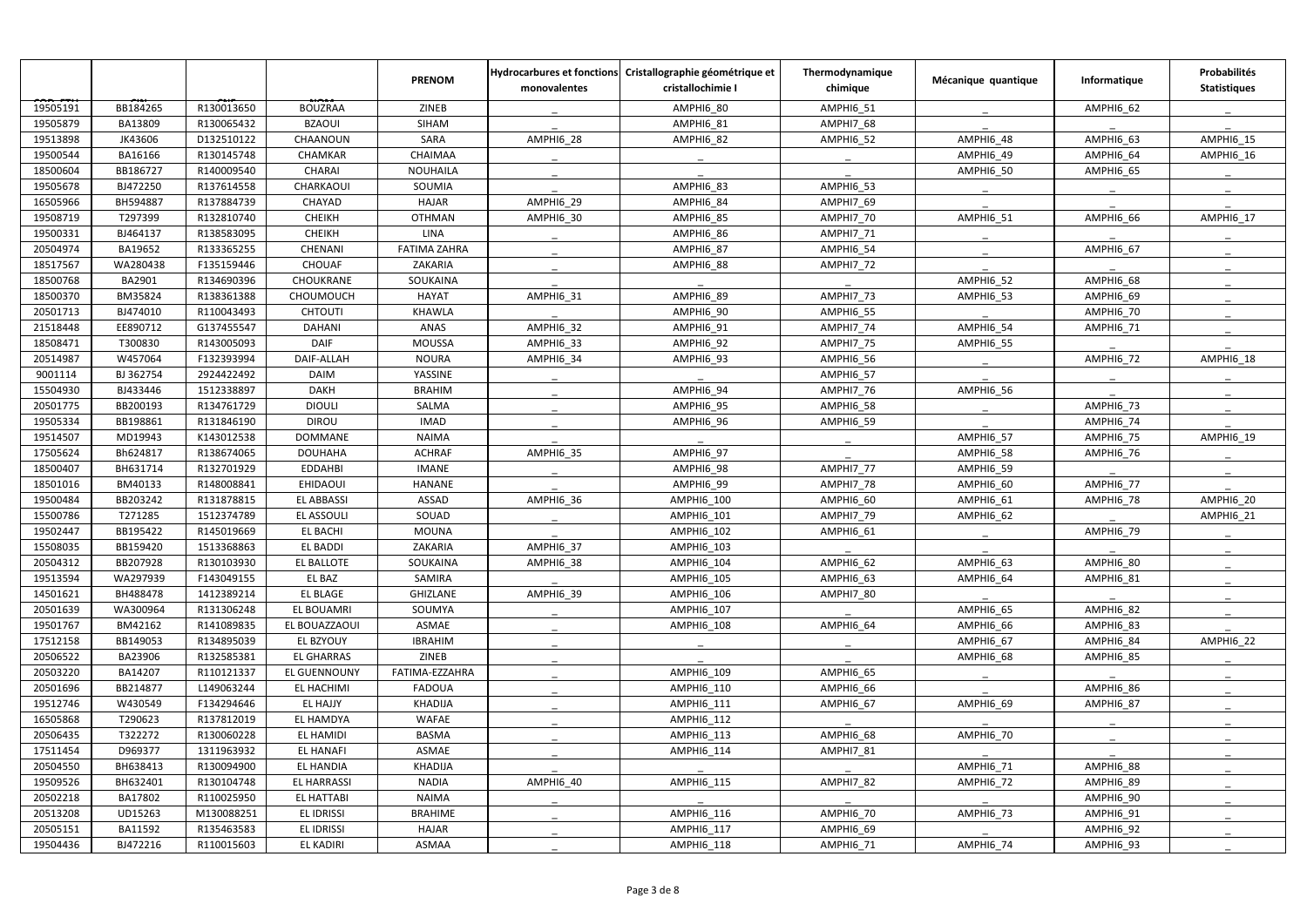|          |           |            |                    | <b>PRENOM</b>       | monovalentes | Hydrocarbures et fonctions Cristallographie géométrique et<br>cristallochimie I | Thermodynamique<br>chimique | Mécanique quantique | Informatique     | Probabilités<br><b>Statistiques</b> |
|----------|-----------|------------|--------------------|---------------------|--------------|---------------------------------------------------------------------------------|-----------------------------|---------------------|------------------|-------------------------------------|
| 19505191 | BB184265  | R130013650 | <b>BOUZRAA</b>     | ZINEB               |              | AMPHI6 80                                                                       | AMPHI6 51                   |                     | AMPHI6 62        |                                     |
| 19505879 | BA13809   | R130065432 | <b>BZAOUI</b>      | <b>SIHAM</b>        |              | AMPHI6 81                                                                       | AMPHI7_68                   |                     |                  |                                     |
| 19513898 | JK43606   | D132510122 | CHAANOUN           | SARA                | AMPHI6 28    | <b>AMPHI6_82</b>                                                                | <b>AMPHI6_52</b>            | AMPHI6 48           | AMPHI6 63        | AMPHI6 15                           |
| 19500544 | BA16166   | R130145748 | CHAMKAR            | CHAIMAA             |              |                                                                                 |                             | <b>AMPHI6_49</b>    | AMPHI6_64        | AMPHI6_16                           |
| 18500604 | BB186727  | R140009540 | <b>CHARAI</b>      | <b>NOUHAILA</b>     |              |                                                                                 |                             | AMPHI6 50           | AMPHI6 65        |                                     |
| 19505678 | BJ472250  | R137614558 | CHARKAOUI          | SOUMIA              |              | AMPHI6_83                                                                       | <b>AMPHI6_53</b>            |                     |                  |                                     |
| 16505966 | BH594887  | R137884739 | CHAYAD             | <b>HAJAR</b>        | AMPHI6_29    | AMPHI6 84                                                                       | AMPHI7_69                   |                     |                  |                                     |
| 19508719 | T297399   | R132810740 | <b>CHEIKH</b>      | <b>OTHMAN</b>       | AMPHI6_30    | AMPHI6 85                                                                       | AMPHI7 70                   | AMPHI6 51           | AMPHI6 66        | AMPHI6 17                           |
| 19500331 | BJ464137  | R138583095 | <b>CHEIKH</b>      | LINA                |              | AMPHI6_86                                                                       | AMPHI7_71                   |                     |                  |                                     |
| 20504974 | BA19652   | R133365255 | CHENANI            | <b>FATIMA ZAHRA</b> |              | AMPHI6 87                                                                       | AMPHI6 54                   |                     | AMPHI6 67        |                                     |
| 18517567 | WA280438  | F135159446 | <b>CHOUAF</b>      | ZAKARIA             |              | AMPHI6_88                                                                       | AMPHI7_72                   |                     |                  |                                     |
| 18500768 | BA2901    | R134690396 | CHOUKRANE          | SOUKAINA            |              |                                                                                 |                             | AMPHI6_52           | AMPHI6_68        |                                     |
| 18500370 | BM35824   | R138361388 | CHOUMOUCH          | <b>HAYAT</b>        | AMPHI6_31    | AMPHI6 89                                                                       | AMPHI7 73                   | AMPHI6 53           | AMPHI6 69        |                                     |
| 20501713 | BJ474010  | R110043493 | <b>CHTOUTI</b>     | <b>KHAWLA</b>       |              | <b>AMPHI6_90</b>                                                                | <b>AMPHI6_55</b>            |                     | AMPHI6 70        |                                     |
| 21518448 | EE890712  | G137455547 | <b>DAHANI</b>      | ANAS                | AMPHI6_32    | AMPHI6 91                                                                       | AMPHI7 74                   | AMPHI6 54           | AMPHI6_71        |                                     |
| 18508471 | T300830   | R143005093 | <b>DAIF</b>        | <b>MOUSSA</b>       | AMPHI6_33    | AMPHI6 92                                                                       | AMPHI7 75                   | AMPHI6_55           |                  |                                     |
| 20514987 | W457064   | F132393994 | DAIF-ALLAH         | <b>NOURA</b>        | AMPHI6_34    | AMPHI6_93                                                                       | AMPHI6_56                   |                     | <b>AMPHI6_72</b> | AMPHI6_18                           |
| 9001114  | BJ 362754 | 2924422492 | <b>DAIM</b>        | YASSINE             |              |                                                                                 | AMPHI6 57                   |                     |                  |                                     |
| 15504930 | BJ433446  | 1512338897 | <b>DAKH</b>        | <b>BRAHIM</b>       |              | AMPHI6_94                                                                       | AMPHI7_76                   | AMPHI6 56           |                  |                                     |
| 20501775 | BB200193  | R134761729 | <b>DIOULI</b>      | SALMA               |              | AMPHI6 95                                                                       | <b>AMPHI6_58</b>            |                     | AMPHI6_73        |                                     |
| 19505334 | BB198861  | R131846190 | <b>DIROU</b>       | <b>IMAD</b>         |              | AMPHI6 96                                                                       | AMPHI6 59                   |                     | AMPHI6 74        |                                     |
| 19514507 | MD19943   | K143012538 | <b>DOMMANE</b>     | <b>NAIMA</b>        |              |                                                                                 |                             | AMPHI6_57           | AMPHI6_75        | AMPHI6_19                           |
| 17505624 | Bh624817  | R138674065 | <b>DOUHAHA</b>     | <b>ACHRAF</b>       | AMPHI6_35    | AMPHI6_97                                                                       |                             | AMPHI6_58           | AMPHI6_76        |                                     |
| 18500407 | BH631714  | R132701929 | <b>EDDAHBI</b>     | <b>IMANE</b>        |              | <b>AMPHI6_98</b>                                                                | AMPHI7 77                   | AMPHI6 59           |                  |                                     |
| 18501016 | BM40133   | R148008841 | EHIDAOUI           | <b>HANANE</b>       |              | AMPHI6_99                                                                       | AMPHI7 78                   | <b>AMPHI6_60</b>    | <b>AMPHI6_77</b> |                                     |
| 19500484 | BB203242  | R131878815 | <b>EL ABBASSI</b>  | ASSAD               | AMPHI6_36    | <b>AMPHI6 100</b>                                                               | AMPHI6 60                   | AMPHI6 61           | AMPHI6 78        | AMPHI6_20                           |
| 15500786 | T271285   | 1512374789 | EL ASSOULI         | SOUAD               |              | AMPHI6_101                                                                      | AMPHI7 79                   | AMPHI6 62           |                  | AMPHI6_21                           |
| 19502447 | BB195422  | R145019669 | <b>EL BACHI</b>    | <b>MOUNA</b>        |              | AMPHI6_102                                                                      | AMPHI6_61                   |                     | AMPHI6_79        |                                     |
| 15508035 | BB159420  | 1513368863 | EL BADDI           | ZAKARIA             | AMPHI6_37    | AMPHI6_103                                                                      |                             |                     |                  |                                     |
| 20504312 | BB207928  | R130103930 | EL BALLOTE         | SOUKAINA            | AMPHI6_38    | AMPHI6_104                                                                      | AMPHI6 62                   | AMPHI6 63           | AMPHI6 80        |                                     |
| 19513594 | WA297939  | F143049155 | EL BAZ             | SAMIRA              |              | <b>AMPHI6 105</b>                                                               | AMPHI6 63                   | AMPHI6 64           | AMPHI6 81        |                                     |
| 14501621 | BH488478  | 1412389214 | EL BLAGE           | <b>GHIZLANE</b>     | AMPHI6_39    | AMPHI6_106                                                                      | AMPHI7_80                   |                     |                  |                                     |
| 20501639 | WA300964  | R131306248 | EL BOUAMRI         | SOUMYA              |              | <b>AMPHI6 107</b>                                                               |                             | AMPHI6 65           | AMPHI6_82        |                                     |
| 19501767 | BM42162   | R141089835 | EL BOUAZZAOUI      | ASMAE               |              | AMPHI6_108                                                                      | AMPHI6 64                   | AMPHI6 66           | AMPHI6_83        |                                     |
| 17512158 | BB149053  | R134895039 | EL BZYOUY          | <b>IBRAHIM</b>      |              |                                                                                 |                             | AMPHI6 67           | AMPHI6 84        | AMPHI6 22                           |
| 20506522 | BA23906   | R132585381 | <b>EL GHARRAS</b>  | ZINEB               |              |                                                                                 |                             | AMPHI6 68           | AMPHI6 85        |                                     |
| 20503220 | BA14207   | R110121337 | EL GUENNOUNY       | FATIMA-EZZAHRA      |              | AMPHI6_109                                                                      | AMPHI6 65                   |                     |                  |                                     |
| 20501696 | BB214877  | L149063244 | EL HACHIMI         | <b>FADOUA</b>       |              | AMPHI6_110                                                                      | AMPHI6_66                   |                     | AMPHI6 86        |                                     |
| 19512746 | W430549   | F134294646 | EL HAJJY           | KHADIJA             |              | AMPHI6_111                                                                      | AMPHI6 67                   | AMPHI6 69           | AMPHI6 87        |                                     |
| 16505868 | T290623   | R137812019 | EL HAMDYA          | WAFAE               |              | AMPHI6_112                                                                      |                             |                     |                  |                                     |
| 20506435 | T322272   | R130060228 | EL HAMIDI          | <b>BASMA</b>        |              | AMPHI6_113                                                                      | AMPHI6 68                   | AMPHI6 70           |                  |                                     |
| 17511454 | D969377   | 1311963932 | <b>EL HANAFI</b>   | ASMAE               |              | <b>AMPHI6 114</b>                                                               | AMPHI7 81                   |                     |                  |                                     |
| 20504550 | BH638413  | R130094900 | EL HANDIA          | KHADIJA             |              |                                                                                 |                             | AMPHI6_71           | AMPHI6 88        |                                     |
| 19509526 | BH632401  | R130104748 | <b>EL HARRASSI</b> | <b>NADIA</b>        | AMPHI6 40    | <b>AMPHI6 115</b>                                                               | AMPHI7 82                   | AMPHI6 72           | AMPHI6_89        |                                     |
| 20502218 | BA17802   | R110025950 | EL HATTABI         | NAIMA               |              |                                                                                 |                             |                     | AMPHI6_90        |                                     |
| 20513208 | UD15263   | M130088251 | EL IDRISSI         | <b>BRAHIME</b>      |              | AMPHI6_116                                                                      | <b>AMPHI6_70</b>            | AMPHI6_73           | AMPHI6_91        |                                     |
| 20505151 | BA11592   | R135463583 | EL IDRISSI         | HAJAR               |              | <b>AMPHI6 117</b>                                                               | AMPHI6 69                   |                     | AMPHI6_92        |                                     |
| 19504436 | BJ472216  | R110015603 | EL KADIRI          | ASMAA               |              | AMPHI6_118                                                                      | AMPHI6_71                   | AMPHI6_74           | AMPHI6_93        |                                     |
|          |           |            |                    |                     |              |                                                                                 |                             |                     |                  |                                     |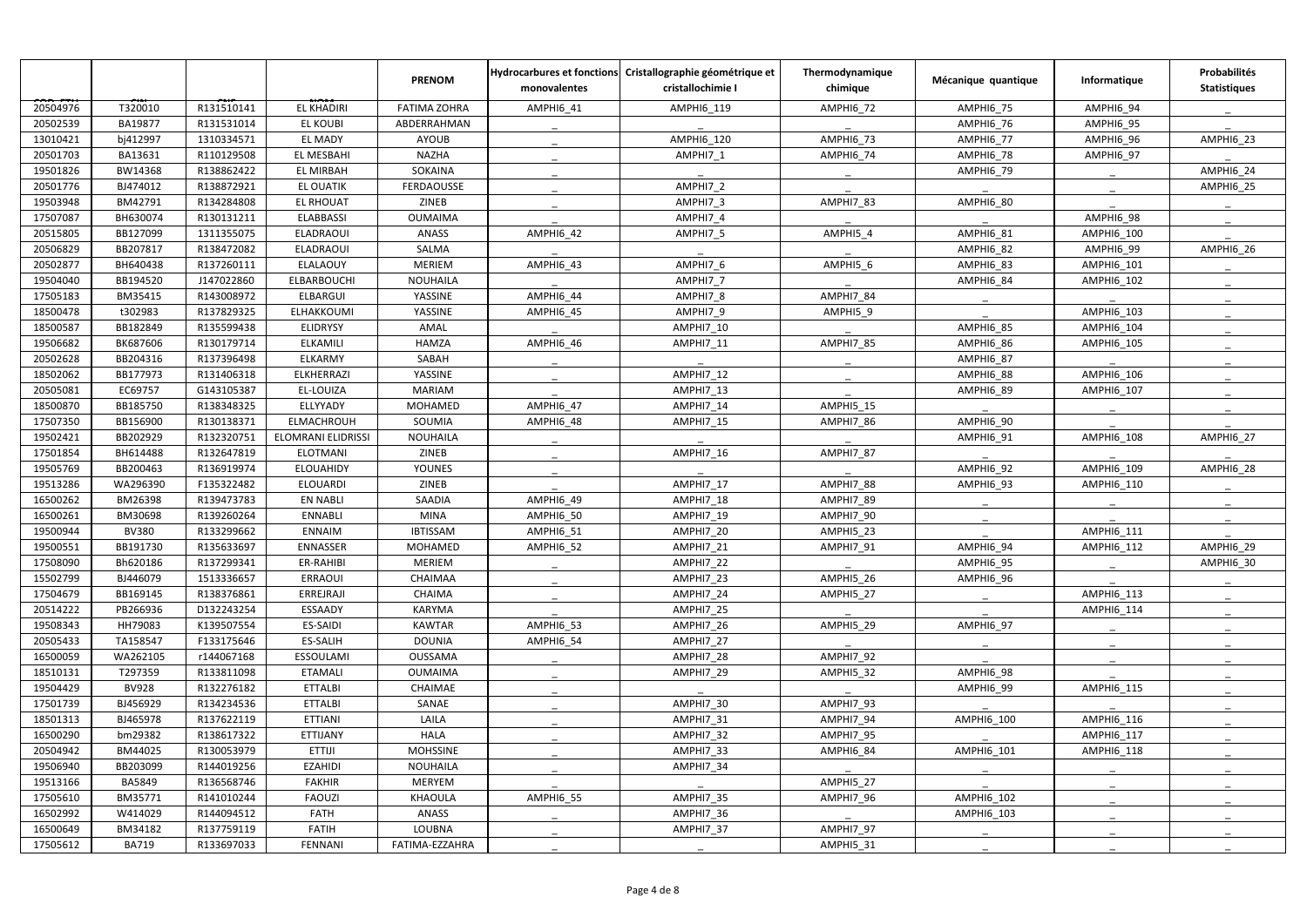|          |              |            |                    | <b>PRENOM</b>       | monovalentes     | Hydrocarbures et fonctions Cristallographie géométrique et<br>cristallochimie I | Thermodynamique<br>chimique | Mécanique quantique | Informatique      | Probabilités<br><b>Statistiques</b> |
|----------|--------------|------------|--------------------|---------------------|------------------|---------------------------------------------------------------------------------|-----------------------------|---------------------|-------------------|-------------------------------------|
| 20504976 | T320010      | R131510141 | <b>EL KHADIRI</b>  | <b>FATIMA ZOHRA</b> | AMPHI6_41        | AMPHI6 119                                                                      | AMPHI6 72                   | AMPHI6_75           | AMPHI6_94         |                                     |
| 20502539 | BA19877      | R131531014 | <b>EL KOUBI</b>    | ABDERRAHMAN         |                  |                                                                                 |                             | AMPHI6 76           | AMPHI6_95         |                                     |
| 13010421 | bj412997     | 1310334571 | <b>EL MADY</b>     | <b>AYOUB</b>        |                  | <b>AMPHI6 120</b>                                                               | <b>AMPHI6 73</b>            | AMPHI6 77           | AMPHI6_96         | <b>AMPHI6 23</b>                    |
| 20501703 | BA13631      | R110129508 | EL MESBAHI         | <b>NAZHA</b>        |                  | AMPHI7 1                                                                        | <b>AMPHI6_74</b>            | AMPHI6_78           | AMPHI6_97         |                                     |
| 19501826 | BW14368      | R138862422 | EL MIRBAH          | SOKAINA             |                  |                                                                                 |                             | AMPHI6 79           |                   | AMPHI6 24                           |
| 20501776 | BJ474012     | R138872921 | <b>EL OUATIK</b>   | FERDAOUSSE          |                  | AMPHI7_2                                                                        |                             |                     |                   | AMPHI6_25                           |
| 19503948 | BM42791      | R134284808 | <b>EL RHOUAT</b>   | ZINEB               |                  | AMPHI7 3                                                                        | AMPHI7 83                   | AMPHI6 80           |                   |                                     |
| 17507087 | BH630074     | R130131211 | <b>ELABBASSI</b>   | <b>OUMAIMA</b>      |                  | AMPHI7 4                                                                        |                             |                     | AMPHI6 98         |                                     |
| 20515805 | BB127099     | 1311355075 | ELADRAOUI          | <b>ANASS</b>        | <b>AMPHI6_42</b> | AMPHI7_5                                                                        | AMPHI5_4                    | AMPHI6 81           | AMPHI6_100        |                                     |
| 20506829 | BB207817     | R138472082 | ELADRAOUI          | SALMA               |                  |                                                                                 |                             | AMPHI6 82           | AMPHI6_99         | AMPHI6 26                           |
| 20502877 | BH640438     | R137260111 | <b>ELALAOUY</b>    | MERIEM              | AMPHI6 43        | AMPHI7 6                                                                        | AMPHI5 6                    | AMPHI6 83           | AMPHI6_101        |                                     |
| 19504040 | BB194520     | J147022860 | ELBARBOUCHI        | NOUHAILA            |                  | AMPHI7 7                                                                        |                             | AMPHI6 84           | <b>AMPHI6 102</b> |                                     |
| 17505183 | BM35415      | R143008972 | ELBARGUI           | YASSINE             | AMPHI6_44        | AMPHI7 8                                                                        | AMPHI7 84                   |                     |                   |                                     |
| 18500478 | t302983      | R137829325 | <b>ELHAKKOUMI</b>  | YASSINE             | AMPHI6 45        | AMPHI7 9                                                                        | AMPHI5 9                    |                     | <b>AMPHI6 103</b> |                                     |
| 18500587 | BB182849     | R135599438 | <b>ELIDRYSY</b>    | AMAL                |                  | AMPHI7_10                                                                       |                             | AMPHI6_85           | AMPHI6_104        |                                     |
| 19506682 | BK687606     | R130179714 | <b>ELKAMILI</b>    | <b>HAMZA</b>        | AMPHI6 46        | AMPHI7 11                                                                       | AMPHI7 85                   | AMPHI6 86           | <b>AMPHI6 105</b> |                                     |
| 20502628 | BB204316     | R137396498 | ELKARMY            | SABAH               |                  |                                                                                 |                             | AMPHI6 87           |                   |                                     |
| 18502062 | BB177973     | R131406318 | <b>ELKHERRAZI</b>  | YASSINE             |                  | AMPHI7 12                                                                       |                             | AMPHI6 88           | <b>AMPHI6 106</b> |                                     |
| 20505081 | EC69757      | G143105387 | EL-LOUIZA          | <b>MARIAM</b>       |                  | AMPHI7_13                                                                       |                             | AMPHI6_89           | AMPHI6_107        |                                     |
| 18500870 | BB185750     | R138348325 | ELLYYADY           | MOHAMED             |                  | AMPHI7 14                                                                       |                             |                     |                   |                                     |
|          | BB156900     | R130138371 | ELMACHROUH         |                     | <b>AMPHI6_47</b> | AMPHI7 15                                                                       | AMPHI5_15                   | AMPHI6 90           |                   |                                     |
| 17507350 | BB202929     |            |                    | SOUMIA              | AMPHI6 48        |                                                                                 | AMPHI7 86                   |                     |                   |                                     |
| 19502421 |              | R132320751 | ELOMRANI ELIDRISSI | NOUHAILA            |                  |                                                                                 |                             | AMPHI6 91           | <b>AMPHI6 108</b> | AMPHI6 27                           |
| 17501854 | BH614488     | R132647819 | <b>ELOTMANI</b>    | ZINEB               |                  | AMPHI7_16                                                                       | AMPHI7_87                   |                     |                   |                                     |
| 19505769 | BB200463     | R136919974 | <b>ELOUAHIDY</b>   | <b>YOUNES</b>       |                  |                                                                                 |                             | AMPHI6 92           | <b>AMPHI6 109</b> | AMPHI6 28                           |
| 19513286 | WA296390     | F135322482 | <b>ELOUARDI</b>    | ZINEB               |                  | AMPHI7_17                                                                       | AMPHI7_88                   | AMPHI6_93           | <b>AMPHI6 110</b> |                                     |
| 16500262 | BM26398      | R139473783 | <b>EN NABLI</b>    | <b>SAADIA</b>       | AMPHI6_49        | AMPHI7 18                                                                       | AMPHI7 89                   |                     |                   |                                     |
| 16500261 | BM30698      | R139260264 | ENNABLI            | <b>MINA</b>         | AMPHI6_50        | AMPHI7_19                                                                       | AMPHI7_90                   |                     |                   |                                     |
| 19500944 | <b>BV380</b> | R133299662 | <b>ENNAIM</b>      | <b>IBTISSAM</b>     | AMPHI6_51        | <b>AMPHI7_20</b>                                                                | AMPHI5_23                   |                     | <b>AMPHI6 111</b> |                                     |
| 19500551 | BB191730     | R135633697 | ENNASSER           | MOHAMED             | AMPHI6_52        | AMPHI7_21                                                                       | AMPHI7_91                   | AMPHI6_94           | AMPHI6_112        | AMPHI6_29                           |
| 17508090 | Bh620186     | R137299341 | ER-RAHIBI          | MERIEM              |                  | AMPHI7_22                                                                       |                             | AMPHI6_95           |                   | AMPHI6 30                           |
| 15502799 | BJ446079     | 1513336657 | <b>ERRAOUI</b>     | CHAIMAA             |                  | AMPHI7 23                                                                       | AMPHI5 26                   | AMPHI6 96           |                   |                                     |
| 17504679 | BB169145     | R138376861 | ERREJRAJI          | <b>CHAIMA</b>       |                  | AMPHI7_24                                                                       | AMPHI5 27                   |                     | <b>AMPHI6 113</b> |                                     |
| 20514222 | PB266936     | D132243254 | ESSAADY            | KARYMA              |                  | <b>AMPHI7_25</b>                                                                |                             |                     | <b>AMPHI6 114</b> |                                     |
| 19508343 | HH79083      | K139507554 | ES-SAIDI           | <b>KAWTAR</b>       | AMPHI6_53        | AMPHI7_26                                                                       | AMPHI5 29                   | AMPHI6 97           |                   |                                     |
| 20505433 | TA158547     | F133175646 | ES-SALIH           | <b>DOUNIA</b>       | AMPHI6_54        | AMPHI7_27                                                                       |                             |                     |                   |                                     |
| 16500059 | WA262105     | r144067168 | <b>ESSOULAMI</b>   | OUSSAMA             |                  | AMPHI7 28                                                                       | AMPHI7 92                   |                     |                   |                                     |
| 18510131 | T297359      | R133811098 | <b>ETAMALI</b>     | <b>OUMAIMA</b>      |                  | AMPHI7 29                                                                       | AMPHI5 32                   | AMPHI6 98           |                   |                                     |
| 19504429 | <b>BV928</b> | R132276182 | <b>ETTALBI</b>     | CHAIMAE             |                  |                                                                                 |                             | AMPHI6 99           | AMPHI6 115        |                                     |
| 17501739 | BJ456929     | R134234536 | <b>ETTALBI</b>     | SANAE               |                  | <b>AMPHI7_30</b>                                                                | AMPHI7_93                   |                     |                   |                                     |
| 18501313 | BJ465978     | R137622119 | <b>ETTIANI</b>     | LAILA               |                  | <b>AMPHI7_31</b>                                                                | AMPHI7_94                   | <b>AMPHI6 100</b>   | AMPHI6 116        |                                     |
| 16500290 | bm29382      | R138617322 | <b>ETTIJANY</b>    | <b>HALA</b>         |                  | AMPHI7_32                                                                       | AMPHI7_95                   |                     | <b>AMPHI6 117</b> |                                     |
| 20504942 | BM44025      | R130053979 | <b>ETTIJI</b>      | <b>MOHSSINE</b>     |                  | AMPHI7 33                                                                       | AMPHI6 84                   | <b>AMPHI6 101</b>   | AMPHI6_118        |                                     |
| 19506940 | BB203099     | R144019256 | <b>EZAHIDI</b>     | <b>NOUHAILA</b>     |                  | AMPHI7_34                                                                       |                             |                     |                   |                                     |
| 19513166 | BA5849       | R136568746 | <b>FAKHIR</b>      | MERYEM              |                  |                                                                                 | AMPHI5_27                   |                     |                   |                                     |
| 17505610 | BM35771      | R141010244 | <b>FAOUZI</b>      | KHAOULA             | AMPHI6 55        | AMPHI7 35                                                                       | AMPHI7 96                   | AMPHI6_102          |                   |                                     |
| 16502992 | W414029      | R144094512 | <b>FATH</b>        | ANASS               |                  | AMPHI7_36                                                                       |                             | AMPHI6 103          |                   |                                     |
| 16500649 | BM34182      | R137759119 | <b>FATIH</b>       | LOUBNA              |                  | AMPHI7_37                                                                       | AMPHI7_97                   |                     |                   |                                     |
| 17505612 | <b>BA719</b> | R133697033 | FENNANI            | FATIMA-EZZAHRA      |                  |                                                                                 | AMPHI5_31                   |                     |                   |                                     |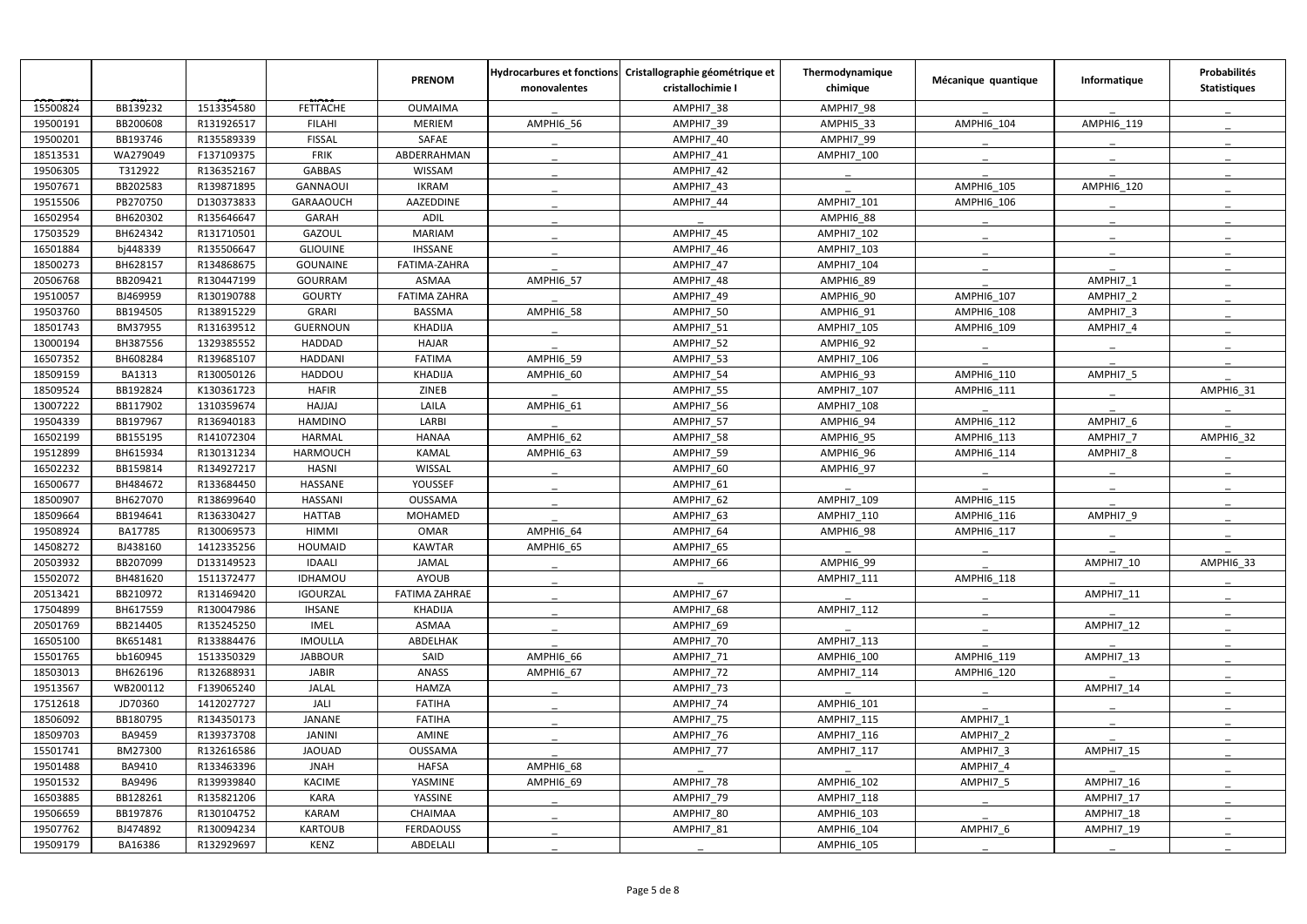|          |               |            |                  | <b>PRENOM</b>       | monovalentes | Hydrocarbures et fonctions Cristallographie géométrique et<br>cristallochimie I | Thermodynamique<br>chimique | Mécanique quantique | Informatique        | Probabilités<br><b>Statistiques</b> |
|----------|---------------|------------|------------------|---------------------|--------------|---------------------------------------------------------------------------------|-----------------------------|---------------------|---------------------|-------------------------------------|
| 15500824 | BB139232      | 1513354580 | <b>FETTACHE</b>  | <b>OUMAIMA</b>      |              | AMPHI7 38                                                                       | AMPHI7 98                   |                     |                     |                                     |
| 19500191 | BB200608      | R131926517 | <b>FILAHI</b>    | <b>MERIEM</b>       | AMPHI6 56    | AMPHI7 39                                                                       | AMPHI5_33                   | <b>AMPHI6 104</b>   | AMPHI6 119          |                                     |
| 19500201 | BB193746      | R135589339 | <b>FISSAL</b>    | SAFAE               |              | AMPHI7 40                                                                       | AMPHI7 99                   |                     |                     |                                     |
| 18513531 | WA279049      | F137109375 | <b>FRIK</b>      | ABDERRAHMAN         |              | AMPHI7 41                                                                       | <b>AMPHI7 100</b>           |                     |                     |                                     |
| 19506305 | T312922       | R136352167 | <b>GABBAS</b>    | WISSAM              |              | AMPHI7 42                                                                       |                             |                     |                     |                                     |
| 19507671 | BB202583      | R139871895 | GANNAOUI         | <b>IKRAM</b>        |              | AMPHI7_43                                                                       |                             | AMPHI6_105          | <b>AMPHI6 120</b>   |                                     |
| 19515506 | PB270750      | D130373833 | <b>GARAAOUCH</b> | AAZEDDINE           |              | AMPHI7 44                                                                       | <b>AMPHI7 101</b>           | <b>AMPHI6 106</b>   |                     |                                     |
| 16502954 | BH620302      | R135646647 | <b>GARAH</b>     | <b>ADIL</b>         |              |                                                                                 | AMPHI6 88                   |                     |                     |                                     |
| 17503529 | BH624342      | R131710501 | <b>GAZOUL</b>    | <b>MARIAM</b>       |              | AMPHI7_45                                                                       | AMPHI7_102                  |                     |                     |                                     |
| 16501884 | bj448339      | R135506647 | <b>GLIOUINE</b>  | <b>IHSSANE</b>      |              | AMPHI7 46                                                                       | AMPHI7 103                  |                     |                     |                                     |
| 18500273 | BH628157      | R134868675 | <b>GOUNAINE</b>  | FATIMA-ZAHRA        |              | AMPHI7 47                                                                       | <b>AMPHI7 104</b>           |                     |                     |                                     |
| 20506768 | BB209421      | R130447199 | <b>GOURRAM</b>   | <b>ASMAA</b>        | AMPHI6 57    | AMPHI7 48                                                                       | AMPHI6 89                   |                     | AMPHI7 1            |                                     |
| 19510057 | BJ469959      | R130190788 | <b>GOURTY</b>    | <b>FATIMA ZAHRA</b> |              | AMPHI7 49                                                                       | AMPHI6 90                   | <b>AMPHI6 107</b>   | AMPHI7 2            |                                     |
| 19503760 | BB194505      | R138915229 | <b>GRARI</b>     | <b>BASSMA</b>       | AMPHI6_58    | <b>AMPHI7_50</b>                                                                | AMPHI6 91                   | AMPHI6_108          | AMPHI7 3            |                                     |
| 18501743 | BM37955       | R131639512 | GUERNOUN         | <b>KHADIJA</b>      |              | AMPHI7 51                                                                       | <b>AMPHI7 105</b>           | <b>AMPHI6 109</b>   | AMPHI7 4            |                                     |
| 13000194 | BH387556      | 1329385552 | <b>HADDAD</b>    | <b>HAJAR</b>        |              | AMPHI7 52                                                                       | AMPHI6 92                   |                     |                     |                                     |
| 16507352 | BH608284      | R139685107 | <b>HADDANI</b>   | <b>FATIMA</b>       | AMPHI6_59    | AMPHI7_53                                                                       | AMPHI7_106                  |                     |                     |                                     |
| 18509159 | <b>BA1313</b> | R130050126 | <b>HADDOU</b>    | <b>KHADIJA</b>      | AMPHI6_60    | AMPHI7 54                                                                       | AMPHI6 93                   | AMPHI6 110          | AMPHI7 5            |                                     |
| 18509524 | BB192824      | K130361723 | <b>HAFIR</b>     | ZINEB               |              | AMPHI7_55                                                                       | AMPHI7 107                  | AMPHI6_111          |                     | AMPHI6_31                           |
| 13007222 | BB117902      | 1310359674 | HAJJAJ           | LAILA               | AMPHI6_61    | AMPHI7 56                                                                       | <b>AMPHI7 108</b>           |                     |                     |                                     |
| 19504339 | BB197967      | R136940183 | <b>HAMDINO</b>   | LARBI               |              | AMPHI7 57                                                                       | AMPHI6 94                   | <b>AMPHI6 112</b>   | AMPHI7 6            |                                     |
| 16502199 | BB155195      | R141072304 | <b>HARMAL</b>    | <b>HANAA</b>        | AMPHI6_62    | AMPHI7_58                                                                       | AMPHI6 95                   | AMPHI6_113          | AMPHI7 <sub>7</sub> | AMPHI6 32                           |
| 19512899 | BH615934      | R130131234 | <b>HARMOUCH</b>  | KAMAL               | AMPHI6_63    | AMPHI7 59                                                                       | AMPHI6 96                   | <b>AMPHI6 114</b>   | AMPHI7 8            |                                     |
| 16502232 | BB159814      | R134927217 | <b>HASNI</b>     | WISSAL              |              | AMPHI7 60                                                                       | AMPHI6 97                   |                     |                     |                                     |
| 16500677 | BH484672      | R133684450 | HASSANE          | YOUSSEF             |              | AMPHI7_61                                                                       |                             |                     |                     |                                     |
| 18500907 | BH627070      | R138699640 | <b>HASSANI</b>   | OUSSAMA             |              | AMPHI7 62                                                                       | AMPHI7 109                  | AMPHI6_115          |                     |                                     |
| 18509664 | BB194641      | R136330427 | <b>HATTAB</b>    | MOHAMED             |              | AMPHI7_63                                                                       | AMPHI7 110                  | <b>AMPHI6 116</b>   | AMPHI7 9            |                                     |
| 19508924 | BA17785       | R130069573 | <b>HIMMI</b>     | <b>OMAR</b>         | AMPHI6_64    | AMPHI7 64                                                                       | AMPHI6_98                   | AMPHI6_117          |                     |                                     |
| 14508272 | BJ438160      | 1412335256 | HOUMAID          | <b>KAWTAR</b>       | AMPHI6_65    | AMPHI7_65                                                                       |                             |                     |                     |                                     |
| 20503932 | BB207099      | D133149523 | <b>IDAALI</b>    | JAMAL               |              | AMPHI7 66                                                                       | AMPHI6 99                   |                     | AMPHI7 10           | AMPHI6 33                           |
| 15502072 | BH481620      | 1511372477 | <b>IDHAMOU</b>   | AYOUB               |              |                                                                                 | AMPHI7 111                  | <b>AMPHI6 118</b>   |                     |                                     |
| 20513421 | BB210972      | R131469420 | <b>IGOURZAL</b>  | FATIMA ZAHRAE       |              | AMPHI7 67                                                                       |                             |                     | AMPHI7_11           |                                     |
| 17504899 | BH617559      | R130047986 | <b>IHSANE</b>    | KHADIJA             |              | AMPHI7 68                                                                       | <b>AMPHI7 112</b>           |                     |                     |                                     |
| 20501769 | BB214405      | R135245250 | <b>IMEL</b>      | ASMAA               |              | AMPHI7 69                                                                       |                             |                     | AMPHI7 12           |                                     |
| 16505100 | BK651481      | R133884476 | <b>IMOULLA</b>   | ABDELHAK            |              | AMPHI7_70                                                                       | <b>AMPHI7 113</b>           |                     |                     |                                     |
| 15501765 | bb160945      | 1513350329 | <b>JABBOUR</b>   | SAID                | AMPHI6_66    | AMPHI7_71                                                                       | AMPHI6_100                  | AMPHI6_119          | AMPHI7 13           |                                     |
| 18503013 | BH626196      | R132688931 | <b>JABIR</b>     | ANASS               | AMPHI6 67    | <b>AMPHI7_72</b>                                                                | AMPHI7 114                  | <b>AMPHI6 120</b>   |                     |                                     |
| 19513567 | WB200112      | F139065240 | JALAL            | <b>HAMZA</b>        |              | <b>AMPHI7_73</b>                                                                |                             |                     | AMPHI7 14           |                                     |
| 17512618 | JD70360       | 1412027727 | JALI             | <b>FATIHA</b>       |              | AMPHI7 74                                                                       | AMPHI6_101                  |                     |                     |                                     |
| 18506092 | BB180795      | R134350173 | JANANE           | <b>FATIHA</b>       |              | <b>AMPHI7_75</b>                                                                | AMPHI7_115                  | AMPHI7_1            |                     |                                     |
| 18509703 | BA9459        | R139373708 | JANINI           | AMINE               |              | AMPHI7 76                                                                       | AMPHI7_116                  | AMPHI7 2            |                     |                                     |
| 15501741 | BM27300       | R132616586 | <b>JAOUAD</b>    | OUSSAMA             |              | AMPHI7 77                                                                       | <b>AMPHI7 117</b>           | AMPHI7 3            | AMPHI7 15           |                                     |
| 19501488 | BA9410        | R133463396 | <b>JNAH</b>      | <b>HAFSA</b>        | AMPHI6_68    |                                                                                 |                             | AMPHI7_4            |                     |                                     |
| 19501532 | BA9496        | R139939840 | <b>KACIME</b>    | YASMINE             | AMPHI6 69    | AMPHI7 78                                                                       | AMPHI6 102                  | AMPHI7 5            | AMPHI7_16           |                                     |
| 16503885 | BB128261      | R135821206 | <b>KARA</b>      | YASSINE             |              | AMPHI7_79                                                                       | AMPHI7_118                  |                     | AMPHI7_17           |                                     |
| 19506659 | BB197876      | R130104752 | <b>KARAM</b>     | CHAIMAA             |              | AMPHI7_80                                                                       | AMPHI6_103                  |                     | AMPHI7_18           |                                     |
| 19507762 | BJ474892      | R130094234 | <b>KARTOUB</b>   | <b>FERDAOUSS</b>    |              | AMPHI7 81                                                                       | AMPHI6_104                  | AMPHI7 6            | AMPHI7_19           |                                     |
| 19509179 | BA16386       | R132929697 | KENZ             | ABDELALI            |              |                                                                                 | AMPHI6_105                  |                     |                     |                                     |
|          |               |            |                  |                     |              |                                                                                 |                             |                     |                     |                                     |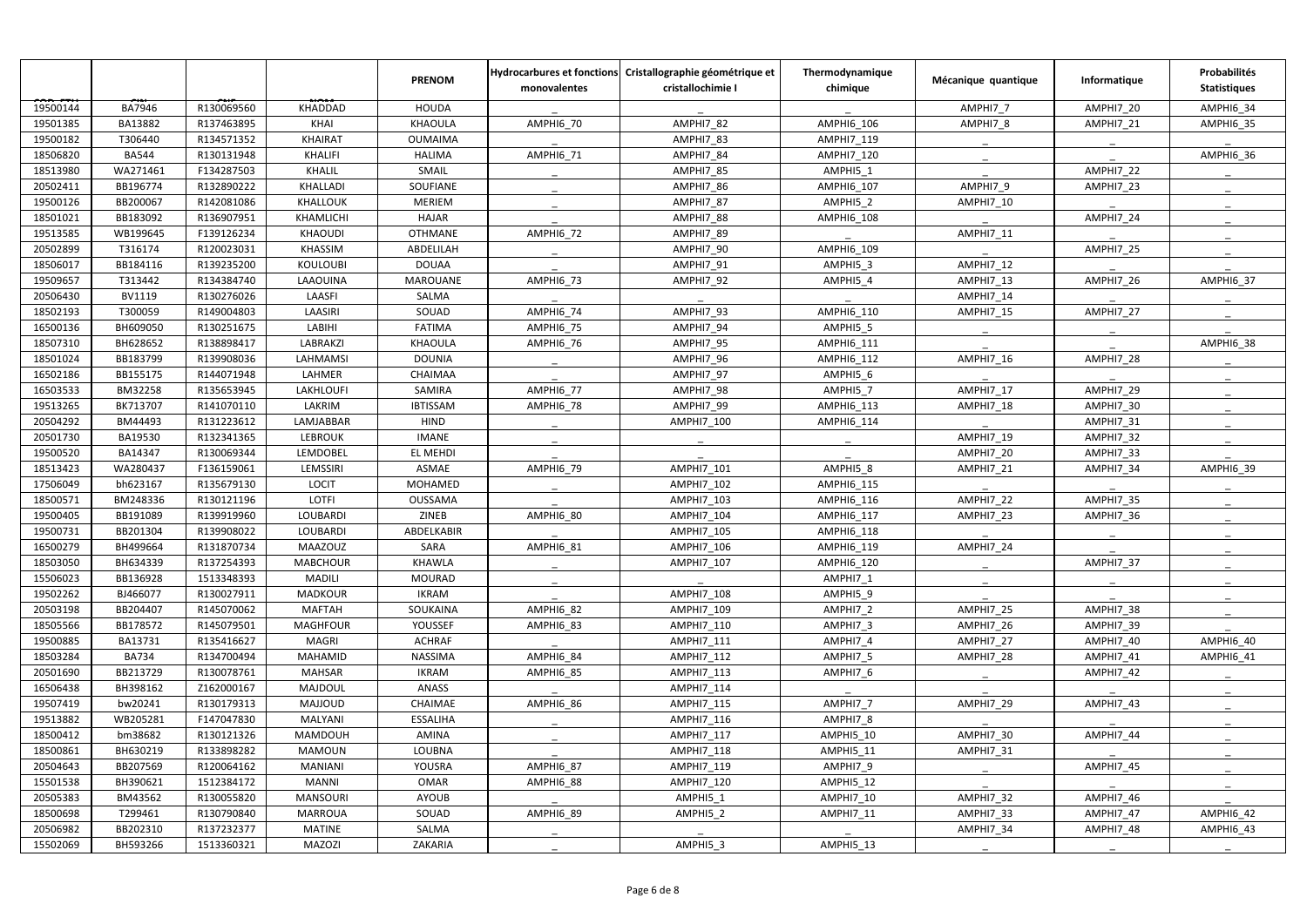|          |              |            |                 | <b>PRENOM</b>   | monovalentes     | Hydrocarbures et fonctions Cristallographie géométrique et<br>cristallochimie I | Thermodynamique<br>chimique | Mécanique quantique | Informatique | Probabilités<br><b>Statistiques</b> |
|----------|--------------|------------|-----------------|-----------------|------------------|---------------------------------------------------------------------------------|-----------------------------|---------------------|--------------|-------------------------------------|
| 19500144 | BA7946       | R130069560 | KHADDAD         | <b>HOUDA</b>    |                  |                                                                                 |                             | AMPHI7_7            | AMPHI7_20    | AMPHI6_34                           |
| 19501385 | BA13882      | R137463895 | <b>KHAI</b>     | KHAOULA         | AMPHI6_70        | AMPHI7 82                                                                       | AMPHI6 106                  | AMPHI7 8            | AMPHI7_21    | <b>AMPHI6_35</b>                    |
| 19500182 | T306440      | R134571352 | <b>KHAIRAT</b>  | <b>OUMAIMA</b>  |                  | AMPHI7 83                                                                       | <b>AMPHI7 119</b>           |                     |              |                                     |
| 18506820 | <b>BA544</b> | R130131948 | <b>KHALIFI</b>  | <b>HALIMA</b>   | AMPHI6_71        | AMPHI7_84                                                                       | AMPHI7_120                  |                     |              | AMPHI6_36                           |
| 18513980 | WA271461     | F134287503 | KHALIL          | SMAIL           |                  | AMPHI7 85                                                                       | AMPHI5 1                    |                     | AMPHI7 22    |                                     |
| 20502411 | BB196774     | R132890222 | KHALLADI        | SOUFIANE        |                  | AMPHI7_86                                                                       | AMPHI6_107                  | AMPHI7_9            | AMPHI7_23    |                                     |
| 19500126 | BB200067     | R142081086 | KHALLOUK        | MERIEM          |                  | AMPHI7 87                                                                       | AMPHI5_2                    | AMPHI7_10           |              |                                     |
| 18501021 | BB183092     | R136907951 | KHAMLICHI       | <b>HAJAR</b>    |                  | AMPHI7 88                                                                       | <b>AMPHI6 108</b>           |                     | AMPHI7 24    |                                     |
| 19513585 | WB199645     | F139126234 | <b>KHAOUDI</b>  | <b>OTHMANE</b>  | <b>AMPHI6_72</b> | AMPHI7_89                                                                       |                             | AMPHI7_11           |              |                                     |
| 20502899 | T316174      | R120023031 | KHASSIM         | ABDELILAH       |                  | <b>AMPHI7_90</b>                                                                | AMPHI6 109                  |                     | AMPHI7 25    |                                     |
| 18506017 | BB184116     | R139235200 | <b>KOULOUBI</b> | <b>DOUAA</b>    |                  | AMPHI7_91                                                                       | AMPHI5 3                    | AMPHI7 12           |              |                                     |
| 19509657 | T313442      | R134384740 | LAAOUINA        | <b>MAROUANE</b> | AMPHI6 73        | AMPHI7_92                                                                       | AMPHI5_4                    | AMPHI7_13           | AMPHI7_26    | <b>AMPHI6_37</b>                    |
| 20506430 | BV1119       | R130276026 | LAASFI          | SALMA           |                  |                                                                                 |                             | AMPHI7 14           |              |                                     |
| 18502193 | T300059      | R149004803 | LAASIRI         | SOUAD           | AMPHI6_74        | AMPHI7_93                                                                       | AMPHI6_110                  | AMPHI7_15           | AMPHI7 27    |                                     |
| 16500136 | BH609050     | R130251675 | LABIHI          | <b>FATIMA</b>   | AMPHI6_75        | AMPHI7_94                                                                       | AMPHI5_5                    |                     |              |                                     |
| 18507310 | BH628652     | R138898417 | <b>LABRAKZI</b> | KHAOULA         | AMPHI6 76        | AMPHI7 95                                                                       | AMPHI6 111                  |                     |              | AMPHI6 38                           |
| 18501024 | BB183799     | R139908036 | LAHMAMSI        | <b>DOUNIA</b>   |                  | AMPHI7_96                                                                       | AMPHI6_112                  | AMPHI7_16           | AMPHI7_28    |                                     |
| 16502186 | BB155175     | R144071948 | LAHMER          | CHAIMAA         |                  | AMPHI7 97                                                                       | AMPHI5 6                    |                     |              |                                     |
| 16503533 | BM32258      | R135653945 | LAKHLOUFI       | SAMIRA          | <b>AMPHI6_77</b> | AMPHI7_98                                                                       | AMPHI5 7                    | AMPHI7_17           | AMPHI7_29    |                                     |
| 19513265 | BK713707     | R141070110 | LAKRIM          | <b>IBTISSAM</b> | AMPHI6_78        | AMPHI7_99                                                                       | AMPHI6_113                  | AMPHI7_18           | AMPHI7_30    |                                     |
| 20504292 | BM44493      | R131223612 | LAMJABBAR       | <b>HIND</b>     |                  | <b>AMPHI7 100</b>                                                               | <b>AMPHI6 114</b>           |                     | AMPHI7_31    |                                     |
| 20501730 | BA19530      | R132341365 | <b>LEBROUK</b>  | <b>IMANE</b>    |                  |                                                                                 |                             | AMPHI7 19           | AMPHI7_32    |                                     |
| 19500520 | BA14347      | R130069344 | LEMDOBEL        | EL MEHDI        |                  |                                                                                 |                             | AMPHI7_20           | AMPHI7_33    |                                     |
| 18513423 | WA280437     | F136159061 | LEMSSIRI        | ASMAE           | AMPHI6_79        | AMPHI7 101                                                                      | AMPHI5 8                    | AMPHI7 21           | AMPHI7 34    | AMPHI6 39                           |
| 17506049 | bh623167     | R135679130 | <b>LOCIT</b>    | MOHAMED         |                  | AMPHI7_102                                                                      | AMPHI6_115                  |                     |              |                                     |
| 18500571 | BM248336     | R130121196 | LOTFI           | OUSSAMA         |                  | AMPHI7 103                                                                      | AMPHI6_116                  | AMPHI7 22           | AMPHI7_35    |                                     |
| 19500405 | BB191089     | R139919960 | LOUBARDI        | ZINEB           | AMPHI6 80        | AMPHI7_104                                                                      | AMPHI6_117                  | AMPHI7 23           | AMPHI7_36    |                                     |
| 19500731 | BB201304     | R139908022 | LOUBARDI        | ABDELKABIR      |                  | AMPHI7_105                                                                      | AMPHI6_118                  |                     |              |                                     |
| 16500279 | BH499664     | R131870734 | MAAZOUZ         | SARA            | AMPHI6_81        | AMPHI7_106                                                                      | AMPHI6_119                  | AMPHI7_24           |              |                                     |
| 18503050 | BH634339     | R137254393 | <b>MABCHOUR</b> | KHAWLA          |                  | AMPHI7 107                                                                      | AMPHI6_120                  |                     | AMPHI7 37    |                                     |
| 15506023 | BB136928     | 1513348393 | MADILI          | MOURAD          |                  |                                                                                 | AMPHI7 1                    |                     |              |                                     |
| 19502262 | BJ466077     | R130027911 | <b>MADKOUR</b>  | <b>IKRAM</b>    |                  | AMPHI7_108                                                                      | AMPHI5 9                    |                     |              |                                     |
| 20503198 | BB204407     | R145070062 | <b>MAFTAH</b>   | SOUKAINA        | AMPHI6_82        | AMPHI7_109                                                                      | AMPHI7_2                    | AMPHI7_25           | AMPHI7_38    |                                     |
| 18505566 | BB178572     | R145079501 | <b>MAGHFOUR</b> | YOUSSEF         | AMPHI6 83        | AMPHI7_110                                                                      | AMPHI7 3                    | AMPHI7 26           | AMPHI7_39    |                                     |
| 19500885 | BA13731      | R135416627 | MAGRI           | <b>ACHRAF</b>   |                  | AMPHI7_111                                                                      | AMPHI7_4                    | AMPHI7_27           | AMPHI7_40    | AMPHI6 40                           |
| 18503284 | <b>BA734</b> | R134700494 | MAHAMID         | NASSIMA         | AMPHI6 84        | AMPHI7_112                                                                      | AMPHI7_5                    | AMPHI7_28           | AMPHI7 41    | AMPHI6_41                           |
| 20501690 | BB213729     | R130078761 | <b>MAHSAR</b>   | <b>IKRAM</b>    | AMPHI6 85        | AMPHI7_113                                                                      | AMPHI7 6                    |                     | AMPHI7 42    |                                     |
| 16506438 | BH398162     | Z162000167 | MAJDOUL         | ANASS           |                  | AMPHI7_114                                                                      |                             |                     |              |                                     |
| 19507419 | bw20241      | R130179313 | MAJJOUD         | CHAIMAE         | AMPHI6 86        | AMPHI7_115                                                                      | AMPHI7_7                    | AMPHI7 29           | AMPHI7 43    |                                     |
| 19513882 | WB205281     | F147047830 | MALYANI         | ESSALIHA        |                  | AMPHI7_116                                                                      | AMPHI7_8                    |                     |              |                                     |
| 18500412 | bm38682      | R130121326 | MAMDOUH         | AMINA           |                  | AMPHI7_117                                                                      | AMPHI5_10                   | AMPHI7 30           | AMPHI7 44    |                                     |
| 18500861 | BH630219     | R133898282 | <b>MAMOUN</b>   | LOUBNA          |                  | AMPHI7_118                                                                      | AMPHI5_11                   | AMPHI7 31           |              |                                     |
| 20504643 | BB207569     | R120064162 | <b>MANIANI</b>  | YOUSRA          | <b>AMPHI6_87</b> | AMPHI7_119                                                                      | AMPHI7 9                    |                     | AMPHI7 45    |                                     |
| 15501538 | BH390621     | 1512384172 | <b>MANNI</b>    | <b>OMAR</b>     | AMPHI6_88        | AMPHI7_120                                                                      | AMPHI5_12                   |                     |              |                                     |
| 20505383 | BM43562      | R130055820 | <b>MANSOURI</b> | AYOUB           |                  | AMPHI5 1                                                                        | AMPHI7_10                   | AMPHI7 32           | AMPHI7 46    |                                     |
| 18500698 | T299461      | R130790840 | MARROUA         | SOUAD           | AMPHI6_89        | AMPHI5_2                                                                        | AMPHI7_11                   | AMPHI7_33           | AMPHI7_47    | <b>AMPHI6_42</b>                    |
| 20506982 | BB202310     | R137232377 | <b>MATINE</b>   | SALMA           |                  |                                                                                 |                             | AMPHI7_34           | AMPHI7_48    | AMPHI6_43                           |
| 15502069 | BH593266     | 1513360321 | <b>MAZOZI</b>   | ZAKARIA         |                  | AMPHI5_3                                                                        | AMPHI5_13                   |                     |              |                                     |
|          |              |            |                 |                 |                  |                                                                                 |                             |                     |              |                                     |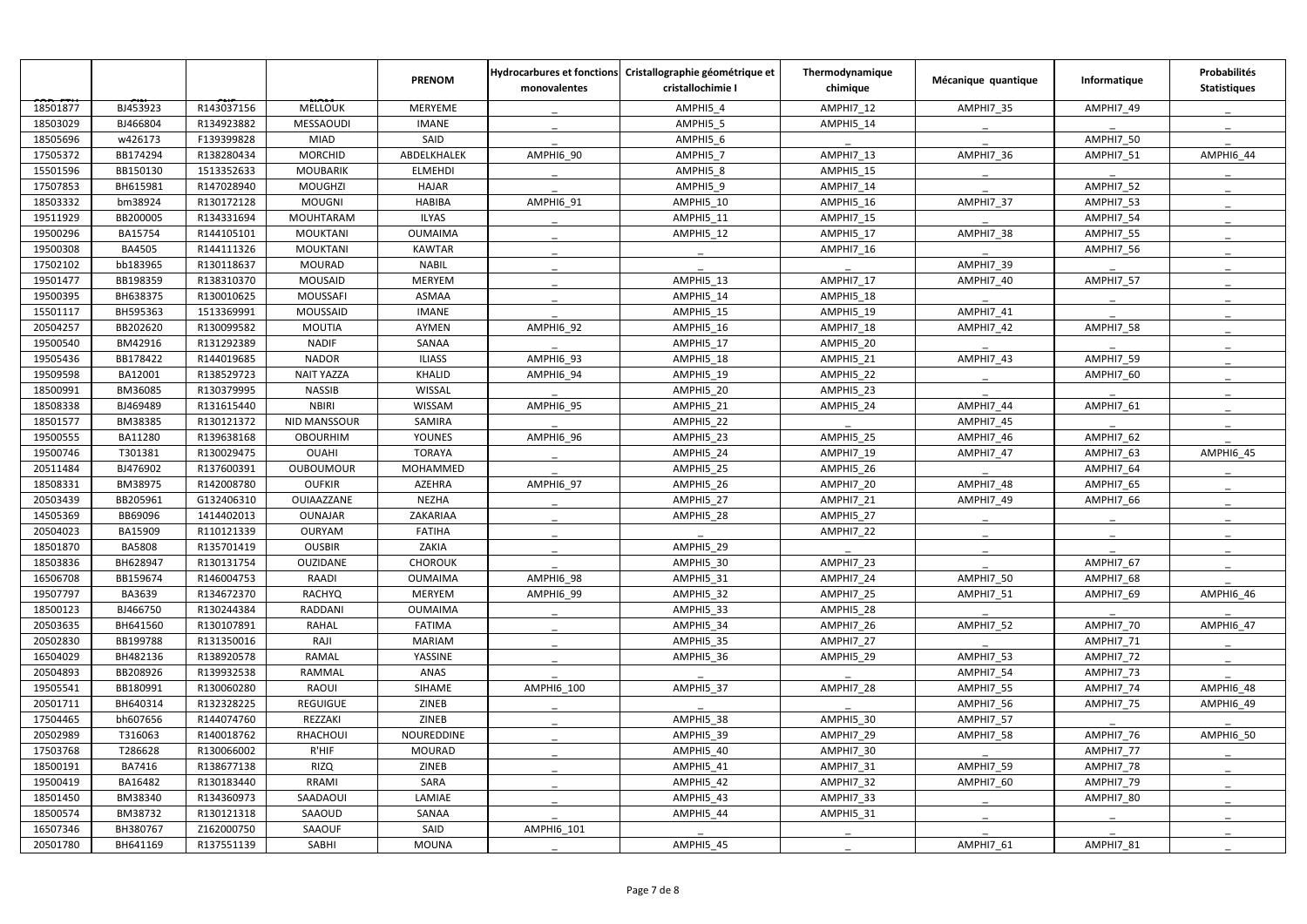|          |               |            |                   | <b>PRENOM</b>  | monovalentes     | Hydrocarbures et fonctions Cristallographie géométrique et<br>cristallochimie I | Thermodynamique<br>chimique | Mécanique quantique | Informatique | Probabilités<br><b>Statistiques</b> |
|----------|---------------|------------|-------------------|----------------|------------------|---------------------------------------------------------------------------------|-----------------------------|---------------------|--------------|-------------------------------------|
| 18501877 | BJ453923      | R143037156 | <b>MELLOUK</b>    | <b>MERYEME</b> |                  | AMPHI5 4                                                                        | AMPHI7 12                   | AMPHI7_35           | AMPHI7 49    |                                     |
| 18503029 | BJ466804      | R134923882 | <b>MESSAOUDI</b>  | <b>IMANE</b>   |                  | AMPHI5 5                                                                        | AMPHI5_14                   |                     |              |                                     |
| 18505696 | w426173       | F139399828 | <b>MIAD</b>       | SAID           |                  | AMPHI5 6                                                                        |                             |                     | AMPHI7 50    |                                     |
| 17505372 | BB174294      | R138280434 | <b>MORCHID</b>    | ABDELKHALEK    | AMPHI6_90        | AMPHI5 7                                                                        | AMPHI7 13                   | AMPHI7_36           | AMPHI7_51    | <b>AMPHI6_44</b>                    |
| 15501596 | BB150130      | 1513352633 | <b>MOUBARIK</b>   | <b>ELMEHDI</b> |                  | AMPHI5 8                                                                        | AMPHI5_15                   |                     |              |                                     |
| 17507853 | BH615981      | R147028940 | MOUGHZI           | <b>HAJAR</b>   |                  | AMPHI5_9                                                                        | AMPHI7_14                   |                     | AMPHI7_52    |                                     |
| 18503332 | bm38924       | R130172128 | <b>MOUGNI</b>     | <b>HABIBA</b>  | AMPHI6_91        | AMPHI5_10                                                                       | AMPHI5_16                   | AMPHI7_37           | AMPHI7_53    |                                     |
| 19511929 | BB200005      | R134331694 | <b>MOUHTARAM</b>  | <b>ILYAS</b>   |                  | AMPHI5 11                                                                       | AMPHI7 15                   |                     | AMPHI7 54    |                                     |
| 19500296 | BA15754       | R144105101 | <b>MOUKTANI</b>   | <b>OUMAIMA</b> |                  | AMPHI5_12                                                                       | AMPHI5_17                   | AMPHI7_38           | AMPHI7_55    |                                     |
| 19500308 | <b>BA4505</b> | R144111326 | <b>MOUKTANI</b>   | <b>KAWTAR</b>  |                  |                                                                                 | AMPHI7 16                   |                     | AMPHI7 56    |                                     |
| 17502102 | bb183965      | R130118637 | MOURAD            | <b>NABIL</b>   |                  |                                                                                 |                             | AMPHI7_39           |              |                                     |
| 19501477 | BB198359      | R138310370 | MOUSAID           | MERYEM         |                  | AMPHI5 13                                                                       | AMPHI7 17                   | AMPHI7_40           | AMPHI7_57    |                                     |
| 19500395 | BH638375      | R130010625 | <b>MOUSSAFI</b>   | <b>ASMAA</b>   |                  | AMPHI5 14                                                                       | AMPHI5 18                   |                     |              |                                     |
| 15501117 | BH595363      | 1513369991 | <b>MOUSSAID</b>   | <b>IMANE</b>   |                  | AMPHI5_15                                                                       | AMPHI5_19                   | AMPHI7_41           |              |                                     |
| 20504257 | BB202620      | R130099582 | <b>MOUTIA</b>     | AYMEN          | AMPHI6_92        | AMPHI5 16                                                                       | AMPHI7 18                   | AMPHI7 42           | AMPHI7_58    |                                     |
| 19500540 | BM42916       | R131292389 | <b>NADIF</b>      | SANAA          |                  | AMPHI5 17                                                                       | AMPHI5 20                   |                     |              |                                     |
| 19505436 | BB178422      | R144019685 | <b>NADOR</b>      | <b>ILIASS</b>  | AMPHI6_93        | AMPHI5_18                                                                       | AMPHI5_21                   | AMPHI7_43           | AMPHI7_59    |                                     |
| 19509598 | BA12001       | R138529723 | <b>NAIT YAZZA</b> | KHALID         | AMPHI6_94        | AMPHI5 19                                                                       | AMPHI5_22                   |                     | AMPHI7 60    |                                     |
| 18500991 | BM36085       | R130379995 | <b>NASSIB</b>     | WISSAL         |                  | AMPHI5_20                                                                       | AMPHI5_23                   |                     |              |                                     |
| 18508338 | BJ469489      | R131615440 | <b>NBIRI</b>      | <b>WISSAM</b>  | AMPHI6_95        | <b>AMPHI5_21</b>                                                                | AMPHI5_24                   | AMPHI7 44           | AMPHI7 61    |                                     |
| 18501577 | BM38385       | R130121372 | NID MANSSOUR      | SAMIRA         |                  | AMPHI5 22                                                                       |                             | AMPHI7 45           |              |                                     |
| 19500555 | BA11280       | R139638168 | <b>OBOURHIM</b>   | <b>YOUNES</b>  | AMPHI6_96        | AMPHI5_23                                                                       | AMPHI5_25                   | AMPHI7 46           | AMPHI7 62    |                                     |
| 19500746 | T301381       | R130029475 | <b>OUAHI</b>      | <b>TORAYA</b>  |                  | AMPHI5 24                                                                       | AMPHI7 19                   | AMPHI7 47           | AMPHI7_63    | AMPHI6 45                           |
| 20511484 | BJ476902      | R137600391 | <b>OUBOUMOUR</b>  | MOHAMMED       |                  | AMPHI5_25                                                                       | AMPHI5_26                   |                     | AMPHI7_64    |                                     |
| 18508331 | BM38975       | R142008780 | <b>OUFKIR</b>     | AZEHRA         | <b>AMPHI6_97</b> | AMPHI5_26                                                                       | <b>AMPHI7_20</b>            | AMPHI7_48           | AMPHI7_65    |                                     |
| 20503439 | BB205961      | G132406310 | OUIAAZZANE        | <b>NEZHA</b>   |                  | AMPHI5 27                                                                       | AMPHI7 21                   | AMPHI7 49           | AMPHI7 66    |                                     |
| 14505369 | BB69096       | 1414402013 | <b>OUNAJAR</b>    | ZAKARIAA       |                  | AMPHI5 28                                                                       | AMPHI5_27                   |                     |              |                                     |
| 20504023 | BA15909       | R110121339 | <b>OURYAM</b>     | <b>FATIHA</b>  |                  |                                                                                 | AMPHI7_22                   |                     |              |                                     |
| 18501870 | <b>BA5808</b> | R135701419 | <b>OUSBIR</b>     | ZAKIA          |                  | AMPHI5_29                                                                       |                             |                     |              |                                     |
| 18503836 | BH628947      | R130131754 | OUZIDANE          | <b>CHOROUK</b> |                  | AMPHI5 30                                                                       | AMPHI7 23                   |                     | AMPHI7 67    |                                     |
| 16506708 | BB159674      | R146004753 | RAADI             | <b>OUMAIMA</b> | AMPHI6 98        | AMPHI5 31                                                                       | AMPHI7 24                   | AMPHI7 50           | AMPHI7_68    |                                     |
| 19507797 | BA3639        | R134672370 | RACHYQ            | MERYEM         | AMPHI6_99        | AMPHI5_32                                                                       | AMPHI7_25                   | AMPHI7_51           | AMPHI7 69    | AMPHI6 46                           |
| 18500123 | BJ466750      | R130244384 | RADDANI           | <b>OUMAIMA</b> |                  | AMPHI5_33                                                                       | AMPHI5_28                   |                     |              |                                     |
| 20503635 | BH641560      | R130107891 | RAHAL             | FATIMA         |                  | AMPHI5_34                                                                       | AMPHI7_26                   | AMPHI7 52           | AMPHI7 70    | AMPHI6 47                           |
| 20502830 | BB199788      | R131350016 | RAJI              | <b>MARIAM</b>  |                  | AMPHI5_35                                                                       | AMPHI7_27                   |                     | AMPHI7 71    |                                     |
| 16504029 | BH482136      | R138920578 | RAMAL             | YASSINE        |                  | AMPHI5_36                                                                       | AMPHI5_29                   | AMPHI7_53           | AMPHI7_72    |                                     |
| 20504893 | BB208926      | R139932538 | RAMMAL            | ANAS           |                  |                                                                                 |                             | AMPHI7 54           | AMPHI7 73    |                                     |
| 19505541 | BB180991      | R130060280 | RAOUI             | SIHAME         | AMPHI6_100       | AMPHI5 37                                                                       | AMPHI7_28                   | AMPHI7_55           | AMPHI7_74    | <b>AMPHI6_48</b>                    |
| 20501711 | BH640314      | R132328225 | REGUIGUE          | ZINEB          |                  |                                                                                 |                             | AMPHI7_56           | AMPHI7 75    | AMPHI6 49                           |
| 17504465 | bh607656      | R144074760 | REZZAKI           | ZINEB          |                  | AMPHI5 38                                                                       | AMPHI5 30                   | AMPHI7_57           |              |                                     |
| 20502989 | T316063       | R140018762 | RHACHOUI          | NOUREDDINE     |                  | AMPHI5_39                                                                       | AMPHI7 29                   | AMPHI7_58           | AMPHI7 76    | AMPHI6 50                           |
| 17503768 | T286628       | R130066002 | $R'$ HIF          | MOURAD         |                  | AMPHI5 40                                                                       | AMPHI7 30                   |                     | AMPHI7 77    |                                     |
| 18500191 | BA7416        | R138677138 | <b>RIZQ</b>       | ZINEB          |                  | AMPHI5_41                                                                       | AMPHI7_31                   | AMPHI7_59           | AMPHI7_78    |                                     |
| 19500419 | BA16482       | R130183440 | RRAMI             | SARA           |                  | AMPHI5 42                                                                       | AMPHI7_32                   | AMPHI7 60           | AMPHI7_79    |                                     |
| 18501450 | BM38340       | R134360973 | SAADAOUI          | LAMIAE         |                  | AMPHI5_43                                                                       | AMPHI7_33                   |                     | AMPHI7 80    |                                     |
| 18500574 | BM38732       | R130121318 | SAAOUD            | SANAA          |                  | AMPHI5_44                                                                       | AMPHI5_31                   |                     |              |                                     |
| 16507346 | BH380767      | Z162000750 | SAAOUF            | SAID           | AMPHI6_101       |                                                                                 |                             |                     |              |                                     |
| 20501780 | BH641169      | R137551139 | SABHI             | <b>MOUNA</b>   |                  | AMPHI5_45                                                                       |                             | AMPHI7_61           | AMPHI7_81    |                                     |